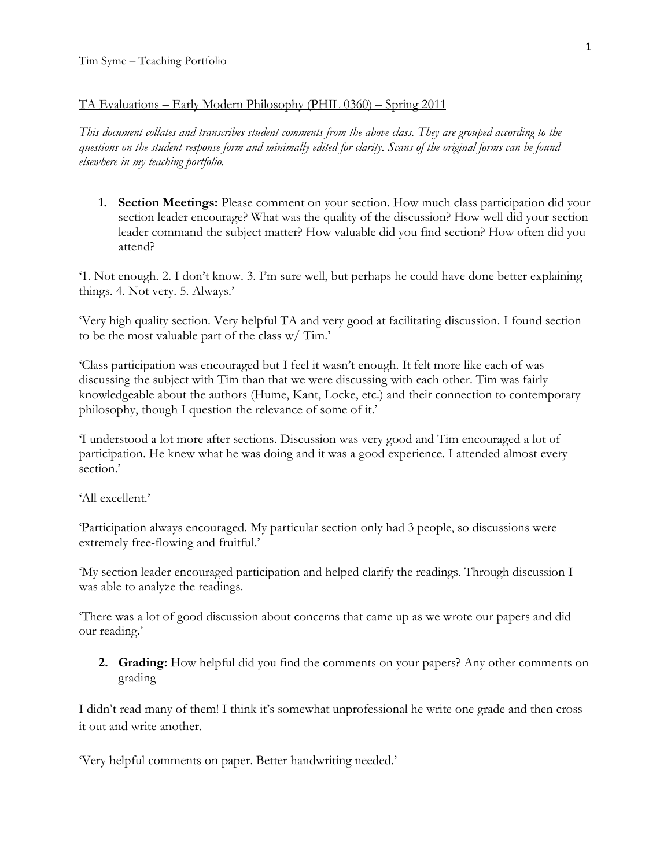## TA Evaluations – Early Modern Philosophy (PHIL 0360) – Spring 2011

*This document collates and transcribes student comments from the above class. They are grouped according to the questions on the student response form and minimally edited for clarity. Scans of the original forms can be found elsewhere in my teaching portfolio.* 

**1. Section Meetings:** Please comment on your section. How much class participation did your section leader encourage? What was the quality of the discussion? How well did your section leader command the subject matter? How valuable did you find section? How often did you attend?

'1. Not enough. 2. I don't know. 3. I'm sure well, but perhaps he could have done better explaining things. 4. Not very. 5. Always.'

'Very high quality section. Very helpful TA and very good at facilitating discussion. I found section to be the most valuable part of the class w/ Tim.'

'Class participation was encouraged but I feel it wasn't enough. It felt more like each of was discussing the subject with Tim than that we were discussing with each other. Tim was fairly knowledgeable about the authors (Hume, Kant, Locke, etc.) and their connection to contemporary philosophy, though I question the relevance of some of it.'

'I understood a lot more after sections. Discussion was very good and Tim encouraged a lot of participation. He knew what he was doing and it was a good experience. I attended almost every section.'

'All excellent.'

'Participation always encouraged. My particular section only had 3 people, so discussions were extremely free-flowing and fruitful.'

'My section leader encouraged participation and helped clarify the readings. Through discussion I was able to analyze the readings.

'There was a lot of good discussion about concerns that came up as we wrote our papers and did our reading.'

**2. Grading:** How helpful did you find the comments on your papers? Any other comments on grading

I didn't read many of them! I think it's somewhat unprofessional he write one grade and then cross it out and write another.

'Very helpful comments on paper. Better handwriting needed.'